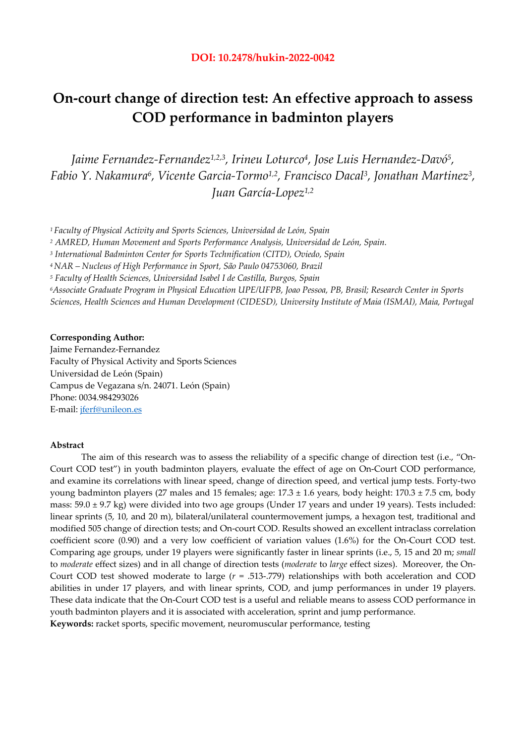# **On-court change of direction test: An effective approach to assess COD performance in badminton players**

*Jaime Fernandez-Fernandez1,2,3, Irineu Loturco4, Jose Luis Hernandez-Davó5, Fabio Y. Nakamura6, Vicente Garcia-Tormo1,2, Francisco Dacal3, Jonathan Martinez3, Juan García-Lopez1,2* 

*1 Faculty of Physical Activity and Sports Sciences, Universidad de León, Spain* 

*<sup>2</sup> AMRED, Human Movement and Sports Performance Analysis, Universidad de León, Spain.* 

*3 International Badminton Center for Sports Technification (CITD), Oviedo, Spain*

*4 NAR – Nucleus of High Performance in Sport, São Paulo 04753060, Brazil* 

*5 Faculty of Health Sciences, Universidad Isabel I de Castilla, Burgos, Spain* 

*6Associate Graduate Program in Physical Education UPE/UFPB, Joao Pessoa, PB, Brasil; Research Center in Sports Sciences, Health Sciences and Human Development (CIDESD), University Institute of Maia (ISMAI), Maia, Portugal* 

## **Corresponding Author:**

Jaime Fernandez-Fernandez Faculty of Physical Activity and Sports Sciences Universidad de León (Spain) Campus de Vegazana s/n. 24071. León (Spain) Phone: 0034.984293026 E-mail: jferf@unileon.es

# **Abstract**

 The aim of this research was to assess the reliability of a specific change of direction test (i.e., "On-Court COD test") in youth badminton players, evaluate the effect of age on On-Court COD performance, and examine its correlations with linear speed, change of direction speed, and vertical jump tests. Forty-two young badminton players (27 males and 15 females; age:  $17.3 \pm 1.6$  years, body height:  $170.3 \pm 7.5$  cm, body mass: 59.0 ± 9.7 kg) were divided into two age groups (Under 17 years and under 19 years). Tests included: linear sprints (5, 10, and 20 m), bilateral/unilateral countermovement jumps, a hexagon test, traditional and modified 505 change of direction tests; and On-court COD. Results showed an excellent intraclass correlation coefficient score (0.90) and a very low coefficient of variation values (1.6%) for the On-Court COD test. Comparing age groups, under 19 players were significantly faster in linear sprints (i.e., 5, 15 and 20 m; *small*  to *moderate* effect sizes) and in all change of direction tests (*moderate* to *large* effect sizes). Moreover, the On-Court COD test showed moderate to large (*r* = .513-.779) relationships with both acceleration and COD abilities in under 17 players, and with linear sprints, COD, and jump performances in under 19 players. These data indicate that the On-Court COD test is a useful and reliable means to assess COD performance in youth badminton players and it is associated with acceleration, sprint and jump performance. **Keywords:** racket sports, specific movement, neuromuscular performance, testing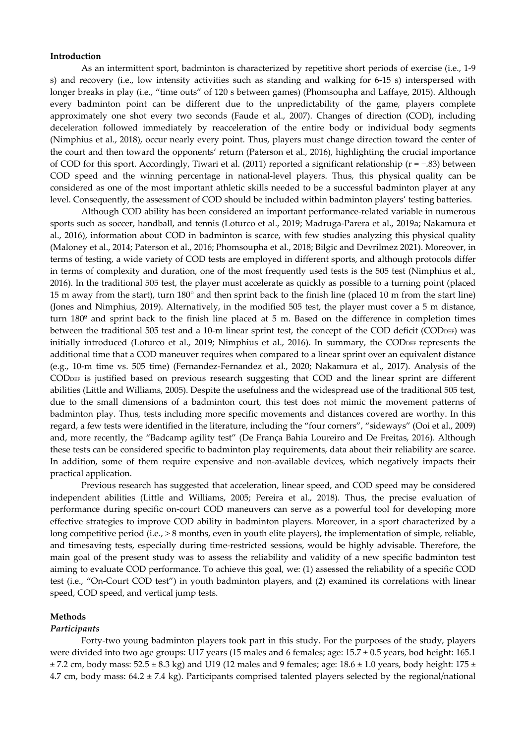### **Introduction**

 As an intermittent sport, badminton is characterized by repetitive short periods of exercise (i.e., 1-9 s) and recovery (i.e., low intensity activities such as standing and walking for 6-15 s) interspersed with longer breaks in play (i.e., "time outs" of 120 s between games) (Phomsoupha and Laffaye, 2015). Although every badminton point can be different due to the unpredictability of the game, players complete approximately one shot every two seconds (Faude et al., 2007). Changes of direction (COD), including deceleration followed immediately by reacceleration of the entire body or individual body segments (Nimphius et al., 2018), occur nearly every point. Thus, players must change direction toward the center of the court and then toward the opponents' return (Paterson et al., 2016), highlighting the crucial importance of COD for this sport. Accordingly, Tiwari et al. (2011) reported a significant relationship (r = −.83) between COD speed and the winning percentage in national-level players. Thus, this physical quality can be considered as one of the most important athletic skills needed to be a successful badminton player at any level. Consequently, the assessment of COD should be included within badminton players' testing batteries.

 Although COD ability has been considered an important performance-related variable in numerous sports such as soccer, handball, and tennis (Loturco et al., 2019; Madruga-Parera et al., 2019a; Nakamura et al., 2016), information about COD in badminton is scarce, with few studies analyzing this physical quality (Maloney et al., 2014; Paterson et al., 2016; Phomsoupha et al., 2018; Bilgic and Devrilmez 2021). Moreover, in terms of testing, a wide variety of COD tests are employed in different sports, and although protocols differ in terms of complexity and duration, one of the most frequently used tests is the 505 test (Nimphius et al., 2016). In the traditional 505 test, the player must accelerate as quickly as possible to a turning point (placed 15 m away from the start), turn 180° and then sprint back to the finish line (placed 10 m from the start line) (Jones and Nimphius, 2019). Alternatively, in the modified 505 test, the player must cover a 5 m distance, turn 180º and sprint back to the finish line placed at 5 m. Based on the difference in completion times between the traditional 505 test and a 10-m linear sprint test, the concept of the COD deficit (CODDEF) was initially introduced (Loturco et al., 2019; Nimphius et al., 2016). In summary, the CODDEF represents the additional time that a COD maneuver requires when compared to a linear sprint over an equivalent distance (e.g., 10-m time vs. 505 time) (Fernandez-Fernandez et al., 2020; Nakamura et al., 2017). Analysis of the CODDEF is justified based on previous research suggesting that COD and the linear sprint are different abilities (Little and Williams, 2005). Despite the usefulness and the widespread use of the traditional 505 test, due to the small dimensions of a badminton court, this test does not mimic the movement patterns of badminton play. Thus, tests including more specific movements and distances covered are worthy. In this regard, a few tests were identified in the literature, including the "four corners", "sideways" (Ooi et al., 2009) and, more recently, the "Badcamp agility test" (De França Bahia Loureiro and De Freitas, 2016). Although these tests can be considered specific to badminton play requirements, data about their reliability are scarce. In addition, some of them require expensive and non-available devices, which negatively impacts their practical application.

 Previous research has suggested that acceleration, linear speed, and COD speed may be considered independent abilities (Little and Williams, 2005; Pereira et al., 2018). Thus, the precise evaluation of performance during specific on-court COD maneuvers can serve as a powerful tool for developing more effective strategies to improve COD ability in badminton players. Moreover, in a sport characterized by a long competitive period (i.e., > 8 months, even in youth elite players), the implementation of simple, reliable, and timesaving tests, especially during time-restricted sessions, would be highly advisable. Therefore, the main goal of the present study was to assess the reliability and validity of a new specific badminton test aiming to evaluate COD performance. To achieve this goal, we: (1) assessed the reliability of a specific COD test (i.e., "On-Court COD test") in youth badminton players, and (2) examined its correlations with linear speed, COD speed, and vertical jump tests.

### **Methods**

### *Participants*

 Forty-two young badminton players took part in this study. For the purposes of the study, players were divided into two age groups: U17 years (15 males and 6 females; age: 15.7 ± 0.5 years, bod height: 165.1  $\pm$  7.2 cm, body mass:  $52.5 \pm 8.3$  kg) and U19 (12 males and 9 females; age: 18.6  $\pm$  1.0 years, body height: 175  $\pm$ 4.7 cm, body mass: 64.2 ± 7.4 kg). Participants comprised talented players selected by the regional/national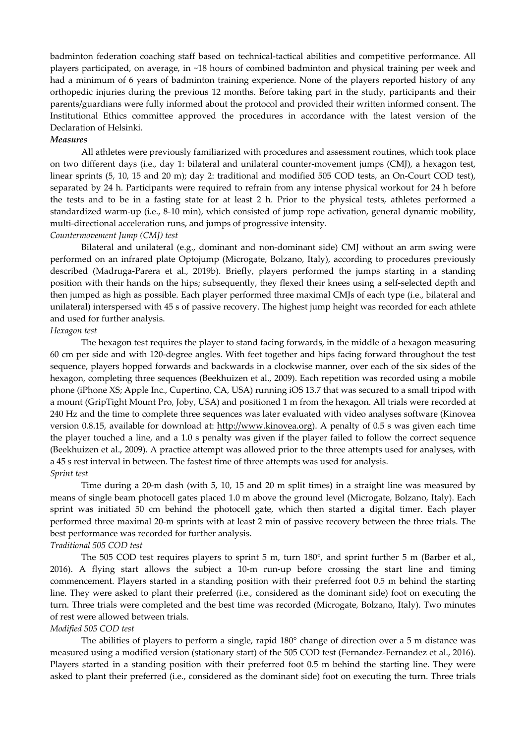badminton federation coaching staff based on technical-tactical abilities and competitive performance. All players participated, on average, in ~18 hours of combined badminton and physical training per week and had a minimum of 6 years of badminton training experience. None of the players reported history of any orthopedic injuries during the previous 12 months. Before taking part in the study, participants and their parents/guardians were fully informed about the protocol and provided their written informed consent. The Institutional Ethics committee approved the procedures in accordance with the latest version of the Declaration of Helsinki.

### *Measures*

All athletes were previously familiarized with procedures and assessment routines, which took place on two different days (i.e., day 1: bilateral and unilateral counter-movement jumps (CMJ), a hexagon test, linear sprints (5, 10, 15 and 20 m); day 2: traditional and modified 505 COD tests, an On-Court COD test), separated by 24 h. Participants were required to refrain from any intense physical workout for 24 h before the tests and to be in a fasting state for at least 2 h. Prior to the physical tests, athletes performed a standardized warm-up (i.e., 8-10 min), which consisted of jump rope activation, general dynamic mobility, multi-directional acceleration runs, and jumps of progressive intensity.

### *Countermovement Jump (CMJ) test*

Bilateral and unilateral (e.g., dominant and non-dominant side) CMJ without an arm swing were performed on an infrared plate Optojump (Microgate, Bolzano, Italy), according to procedures previously described (Madruga-Parera et al., 2019b). Briefly, players performed the jumps starting in a standing position with their hands on the hips; subsequently, they flexed their knees using a self-selected depth and then jumped as high as possible. Each player performed three maximal CMJs of each type (i.e., bilateral and unilateral) interspersed with 45 s of passive recovery. The highest jump height was recorded for each athlete and used for further analysis.

### *Hexagon test*

 The hexagon test requires the player to stand facing forwards, in the middle of a hexagon measuring 60 cm per side and with 120-degree angles. With feet together and hips facing forward throughout the test sequence, players hopped forwards and backwards in a clockwise manner, over each of the six sides of the hexagon, completing three sequences (Beekhuizen et al., 2009). Each repetition was recorded using a mobile phone (iPhone XS; Apple Inc., Cupertino, CA, USA) running iOS 13.7 that was secured to a small tripod with a mount (GripTight Mount Pro, Joby, USA) and positioned 1 m from the hexagon. All trials were recorded at 240 Hz and the time to complete three sequences was later evaluated with video analyses software (Kinovea version 0.8.15, available for download at: http://www.kinovea.org). A penalty of 0.5 s was given each time the player touched a line, and a 1.0 s penalty was given if the player failed to follow the correct sequence (Beekhuizen et al., 2009). A practice attempt was allowed prior to the three attempts used for analyses, with a 45 s rest interval in between. The fastest time of three attempts was used for analysis. *Sprint test* 

 Time during a 20-m dash (with 5, 10, 15 and 20 m split times) in a straight line was measured by means of single beam photocell gates placed 1.0 m above the ground level (Microgate, Bolzano, Italy). Each sprint was initiated 50 cm behind the photocell gate, which then started a digital timer. Each player performed three maximal 20-m sprints with at least 2 min of passive recovery between the three trials. The best performance was recorded for further analysis.

# *Traditional 505 COD test*

 The 505 COD test requires players to sprint 5 m, turn 180°, and sprint further 5 m (Barber et al., 2016). A flying start allows the subject a 10-m run-up before crossing the start line and timing commencement. Players started in a standing position with their preferred foot 0.5 m behind the starting line. They were asked to plant their preferred (i.e., considered as the dominant side) foot on executing the turn. Three trials were completed and the best time was recorded (Microgate, Bolzano, Italy). Two minutes of rest were allowed between trials.

### *Modified 505 COD test*

 The abilities of players to perform a single, rapid 180° change of direction over a 5 m distance was measured using a modified version (stationary start) of the 505 COD test (Fernandez-Fernandez et al., 2016). Players started in a standing position with their preferred foot 0.5 m behind the starting line. They were asked to plant their preferred (i.e., considered as the dominant side) foot on executing the turn. Three trials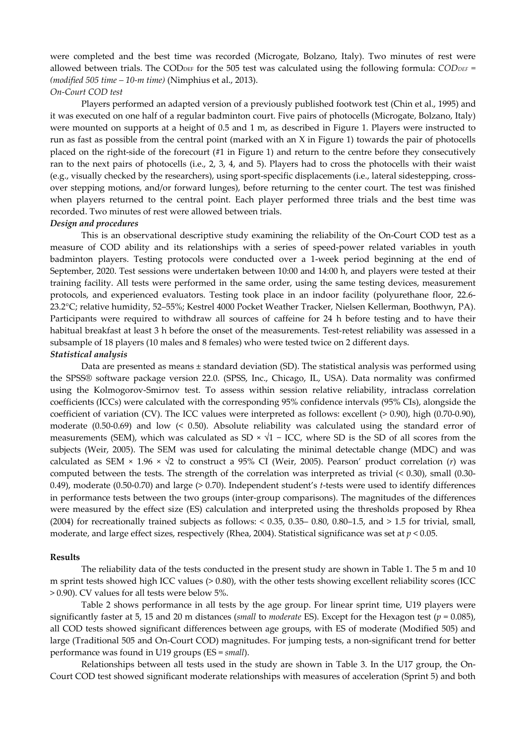were completed and the best time was recorded (Microgate, Bolzano, Italy). Two minutes of rest were allowed between trials. The COD<sub>DEF</sub> for the 505 test was calculated using the following formula: *CODDEF* = *(modified 505 time – 10-m time)* (Nimphius et al., 2013).

# *On-Court COD test*

 Players performed an adapted version of a previously published footwork test (Chin et al., 1995) and it was executed on one half of a regular badminton court. Five pairs of photocells (Microgate, Bolzano, Italy) were mounted on supports at a height of 0.5 and 1 m, as described in Figure 1. Players were instructed to run as fast as possible from the central point (marked with an X in Figure 1) towards the pair of photocells placed on the right-side of the forecourt (#1 in Figure 1) and return to the centre before they consecutively ran to the next pairs of photocells (i.e., 2, 3, 4, and 5). Players had to cross the photocells with their waist (e.g., visually checked by the researchers), using sport-specific displacements (i.e., lateral sidestepping, crossover stepping motions, and/or forward lunges), before returning to the center court. The test was finished when players returned to the central point. Each player performed three trials and the best time was recorded. Two minutes of rest were allowed between trials.

#### *Design and procedures*

 This is an observational descriptive study examining the reliability of the On-Court COD test as a measure of COD ability and its relationships with a series of speed-power related variables in youth badminton players. Testing protocols were conducted over a 1-week period beginning at the end of September, 2020. Test sessions were undertaken between 10:00 and 14:00 h, and players were tested at their training facility. All tests were performed in the same order, using the same testing devices, measurement protocols, and experienced evaluators. Testing took place in an indoor facility (polyurethane floor, 22.6- 23.2°C; relative humidity, 52–55%; Kestrel 4000 Pocket Weather Tracker, Nielsen Kellerman, Boothwyn, PA). Participants were required to withdraw all sources of caffeine for 24 h before testing and to have their habitual breakfast at least 3 h before the onset of the measurements. Test-retest reliability was assessed in a subsample of 18 players (10 males and 8 females) who were tested twice on 2 different days. *Statistical analysis* 

 Data are presented as means ± standard deviation (SD). The statistical analysis was performed using the SPSS® software package version 22.0. (SPSS, Inc., Chicago, IL, USA). Data normality was confirmed using the Kolmogorov-Smirnov test. To assess within session relative reliability, intraclass correlation coefficients (ICCs) were calculated with the corresponding 95% confidence intervals (95% CIs), alongside the coefficient of variation (CV). The ICC values were interpreted as follows: excellent (> 0.90), high (0.70-0.90), moderate (0.50-0.69) and low (< 0.50). Absolute reliability was calculated using the standard error of measurements (SEM), which was calculated as SD  $\times \sqrt{1}$  – ICC, where SD is the SD of all scores from the subjects (Weir, 2005). The SEM was used for calculating the minimal detectable change (MDC) and was calculated as SEM × 1.96 ×  $\sqrt{2}$  to construct a 95% CI (Weir, 2005). Pearson' product correlation (*r*) was computed between the tests. The strength of the correlation was interpreted as trivial (< 0.30), small (0.30- 0.49), moderate (0.50-0.70) and large (> 0.70). Independent student's *t*-tests were used to identify differences in performance tests between the two groups (inter-group comparisons). The magnitudes of the differences were measured by the effect size (ES) calculation and interpreted using the thresholds proposed by Rhea (2004) for recreationally trained subjects as follows:  $< 0.35, 0.35-0.80, 0.80-1.5,$  and  $> 1.5$  for trivial, small, moderate, and large effect sizes, respectively (Rhea, 2004). Statistical significance was set at *p* < 0.05.

### **Results**

 The reliability data of the tests conducted in the present study are shown in Table 1. The 5 m and 10 m sprint tests showed high ICC values (> 0.80), with the other tests showing excellent reliability scores (ICC > 0.90). CV values for all tests were below 5%.

 Table 2 shows performance in all tests by the age group. For linear sprint time, U19 players were significantly faster at 5, 15 and 20 m distances (*small* to *moderate* ES). Except for the Hexagon test (*p* = 0.085), all COD tests showed significant differences between age groups, with ES of moderate (Modified 505) and large (Traditional 505 and On-Court COD) magnitudes. For jumping tests, a non-significant trend for better performance was found in U19 groups (ES = *small*).

 Relationships between all tests used in the study are shown in Table 3. In the U17 group, the On-Court COD test showed significant moderate relationships with measures of acceleration (Sprint 5) and both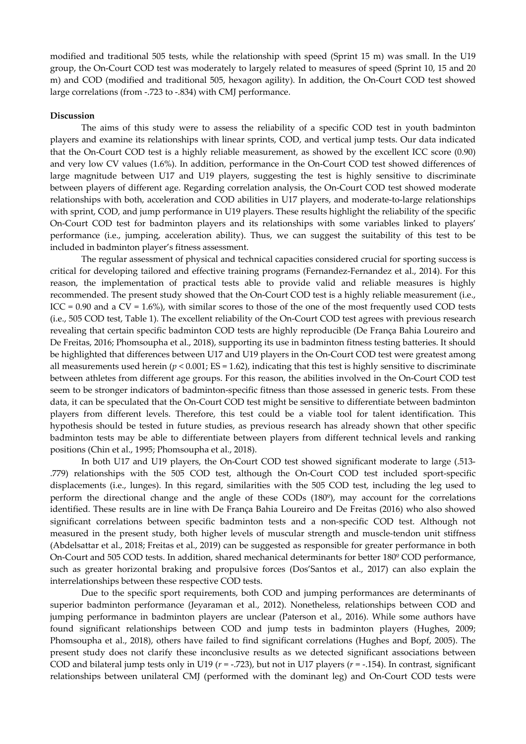modified and traditional 505 tests, while the relationship with speed (Sprint 15 m) was small. In the U19 group, the On-Court COD test was moderately to largely related to measures of speed (Sprint 10, 15 and 20 m) and COD (modified and traditional 505, hexagon agility). In addition, the On-Court COD test showed large correlations (from -.723 to -.834) with CMJ performance.

### **Discussion**

 The aims of this study were to assess the reliability of a specific COD test in youth badminton players and examine its relationships with linear sprints, COD, and vertical jump tests. Our data indicated that the On-Court COD test is a highly reliable measurement, as showed by the excellent ICC score (0.90) and very low CV values (1.6%). In addition, performance in the On-Court COD test showed differences of large magnitude between U17 and U19 players, suggesting the test is highly sensitive to discriminate between players of different age. Regarding correlation analysis, the On-Court COD test showed moderate relationships with both, acceleration and COD abilities in U17 players, and moderate-to-large relationships with sprint, COD, and jump performance in U19 players. These results highlight the reliability of the specific On-Court COD test for badminton players and its relationships with some variables linked to players' performance (i.e., jumping, acceleration ability). Thus, we can suggest the suitability of this test to be included in badminton player's fitness assessment.

 The regular assessment of physical and technical capacities considered crucial for sporting success is critical for developing tailored and effective training programs (Fernandez-Fernandez et al., 2014). For this reason, the implementation of practical tests able to provide valid and reliable measures is highly recommended. The present study showed that the On-Court COD test is a highly reliable measurement (i.e., ICC = 0.90 and a CV =  $1.6\%$ ), with similar scores to those of the one of the most frequently used COD tests (i.e., 505 COD test, Table 1). The excellent reliability of the On-Court COD test agrees with previous research revealing that certain specific badminton COD tests are highly reproducible (De França Bahia Loureiro and De Freitas, 2016; Phomsoupha et al., 2018), supporting its use in badminton fitness testing batteries. It should be highlighted that differences between U17 and U19 players in the On-Court COD test were greatest among all measurements used herein  $(p < 0.001; ES = 1.62)$ , indicating that this test is highly sensitive to discriminate between athletes from different age groups. For this reason, the abilities involved in the On-Court COD test seem to be stronger indicators of badminton-specific fitness than those assessed in generic tests. From these data, it can be speculated that the On-Court COD test might be sensitive to differentiate between badminton players from different levels. Therefore, this test could be a viable tool for talent identification. This hypothesis should be tested in future studies, as previous research has already shown that other specific badminton tests may be able to differentiate between players from different technical levels and ranking positions (Chin et al., 1995; Phomsoupha et al., 2018).

 In both U17 and U19 players, the On-Court COD test showed significant moderate to large (.513- .779) relationships with the 505 COD test, although the On-Court COD test included sport-specific displacements (i.e., lunges). In this regard, similarities with the 505 COD test, including the leg used to perform the directional change and the angle of these CODs (180º), may account for the correlations identified. These results are in line with De França Bahia Loureiro and De Freitas (2016) who also showed significant correlations between specific badminton tests and a non-specific COD test. Although not measured in the present study, both higher levels of muscular strength and muscle-tendon unit stiffness (Abdelsattar et al., 2018; Freitas et al., 2019) can be suggested as responsible for greater performance in both On-Court and 505 COD tests. In addition, shared mechanical determinants for better 180º COD performance, such as greater horizontal braking and propulsive forces (Dos'Santos et al., 2017) can also explain the interrelationships between these respective COD tests.

 Due to the specific sport requirements, both COD and jumping performances are determinants of superior badminton performance (Jeyaraman et al., 2012). Nonetheless, relationships between COD and jumping performance in badminton players are unclear (Paterson et al., 2016). While some authors have found significant relationships between COD and jump tests in badminton players (Hughes, 2009; Phomsoupha et al., 2018), others have failed to find significant correlations (Hughes and Bopf, 2005). The present study does not clarify these inconclusive results as we detected significant associations between COD and bilateral jump tests only in U19 (*r* = -.723), but not in U17 players (*r* = -.154). In contrast, significant relationships between unilateral CMJ (performed with the dominant leg) and On-Court COD tests were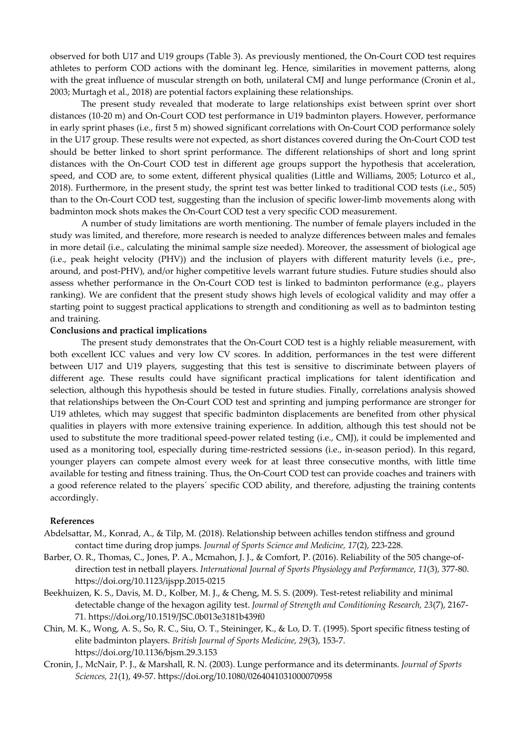observed for both U17 and U19 groups (Table 3). As previously mentioned, the On-Court COD test requires athletes to perform COD actions with the dominant leg. Hence, similarities in movement patterns, along with the great influence of muscular strength on both, unilateral CMJ and lunge performance (Cronin et al., 2003; Murtagh et al., 2018) are potential factors explaining these relationships.

 The present study revealed that moderate to large relationships exist between sprint over short distances (10-20 m) and On-Court COD test performance in U19 badminton players. However, performance in early sprint phases (i.e., first 5 m) showed significant correlations with On-Court COD performance solely in the U17 group. These results were not expected, as short distances covered during the On-Court COD test should be better linked to short sprint performance. The different relationships of short and long sprint distances with the On-Court COD test in different age groups support the hypothesis that acceleration, speed, and COD are, to some extent, different physical qualities (Little and Williams, 2005; Loturco et al., 2018). Furthermore, in the present study, the sprint test was better linked to traditional COD tests (i.e., 505) than to the On-Court COD test, suggesting than the inclusion of specific lower-limb movements along with badminton mock shots makes the On-Court COD test a very specific COD measurement.

 A number of study limitations are worth mentioning. The number of female players included in the study was limited, and therefore, more research is needed to analyze differences between males and females in more detail (i.e., calculating the minimal sample size needed). Moreover, the assessment of biological age (i.e., peak height velocity (PHV)) and the inclusion of players with different maturity levels (i.e., pre-, around, and post-PHV), and/or higher competitive levels warrant future studies. Future studies should also assess whether performance in the On-Court COD test is linked to badminton performance (e.g., players ranking). We are confident that the present study shows high levels of ecological validity and may offer a starting point to suggest practical applications to strength and conditioning as well as to badminton testing and training.

# **Conclusions and practical implications**

 The present study demonstrates that the On-Court COD test is a highly reliable measurement, with both excellent ICC values and very low CV scores. In addition, performances in the test were different between U17 and U19 players, suggesting that this test is sensitive to discriminate between players of different age. These results could have significant practical implications for talent identification and selection, although this hypothesis should be tested in future studies. Finally, correlations analysis showed that relationships between the On-Court COD test and sprinting and jumping performance are stronger for U19 athletes, which may suggest that specific badminton displacements are benefited from other physical qualities in players with more extensive training experience. In addition, although this test should not be used to substitute the more traditional speed-power related testing (i.e., CMJ), it could be implemented and used as a monitoring tool, especially during time-restricted sessions (i.e., in-season period). In this regard, younger players can compete almost every week for at least three consecutive months, with little time available for testing and fitness training. Thus, the On-Court COD test can provide coaches and trainers with a good reference related to the players´ specific COD ability, and therefore, adjusting the training contents accordingly.

# **References**

- Abdelsattar, M., Konrad, A., & Tilp, M. (2018). Relationship between achilles tendon stiffness and ground contact time during drop jumps. *Journal of Sports Science and Medicine, 17*(2), 223-228.
- Barber, O. R., Thomas, C., Jones, P. A., Mcmahon, J. J., & Comfort, P. (2016). Reliability of the 505 change-ofdirection test in netball players. *International Journal of Sports Physiology and Performance, 11*(3), 377-80. https://doi.org/10.1123/ijspp.2015-0215
- Beekhuizen, K. S., Davis, M. D., Kolber, M. J., & Cheng, M. S. S. (2009). Test-retest reliability and minimal detectable change of the hexagon agility test. *Journal of Strength and Conditioning Research, 23*(7), 2167- 71. https://doi.org/10.1519/JSC.0b013e3181b439f0
- Chin, M. K., Wong, A. S., So, R. C., Siu, O. T., Steininger, K., & Lo, D. T. (1995). Sport specific fitness testing of elite badminton players. *British Journal of Sports Medicine, 29*(3), 153-7. https://doi.org/10.1136/bjsm.29.3.153
- Cronin, J., McNair, P. J., & Marshall, R. N. (2003). Lunge performance and its determinants. *Journal of Sports Sciences, 21*(1), 49-57. https://doi.org/10.1080/0264041031000070958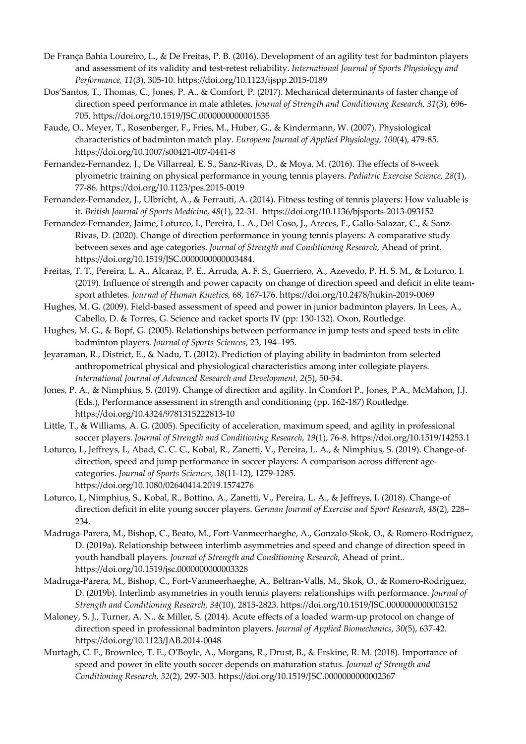- De França Bahia Loureiro, L., & De Freitas, P. B. (2016). Development of an agility test for badminton players and assessment of its validity and test-retest reliability. *International Journal of Sports Physiology and Performance, 11*(3), 305-10. https://doi.org/10.1123/ijspp.2015-0189
- Dos'Santos, T., Thomas, C., Jones, P. A., & Comfort, P. (2017). Mechanical determinants of faster change of direction speed performance in male athletes. *Journal of Strength and Conditioning Research, 31*(3), 696- 705. https://doi.org/10.1519/JSC.0000000000001535
- Faude, O., Meyer, T., Rosenberger, F., Fries, M., Huber, G., & Kindermann, W. (2007). Physiological characteristics of badminton match play. *European Journal of Applied Physiology, 100*(4), 479-85. https://doi.org/10.1007/s00421-007-0441-8
- Fernandez-Fernandez, J., De Villarreal, E. S., Sanz-Rivas, D., & Moya, M. (2016). The effects of 8-week plyometric training on physical performance in young tennis players. *Pediatric Exercise Science, 28*(1), 77-86. https://doi.org/10.1123/pes.2015-0019
- Fernandez-Fernandez, J., Ulbricht, A., & Ferrauti, A. (2014). Fitness testing of tennis players: How valuable is it. *British Journal of Sports Medicine, 48*(1), 22-31. https://doi.org/10.1136/bjsports-2013-093152
- Fernandez-Fernandez, Jaime, Loturco, I., Pereira, L. A., Del Coso, J., Areces, F., Gallo-Salazar, C., & Sanz-Rivas, D. (2020). Change of direction performance in young tennis players: A comparative study between sexes and age categories. *Journal of Strength and Conditioning Research,* Ahead of print. https://doi.org/10.1519/JSC.0000000000003484.
- Freitas, T. T., Pereira, L. A., Alcaraz, P. E., Arruda, A. F. S., Guerriero, A., Azevedo, P. H. S. M., & Loturco, I. (2019). Influence of strength and power capacity on change of direction speed and deficit in elite teamsport athletes. *Journal of Human Kinetics,* 68, 167-176. https://doi.org/10.2478/hukin-2019-0069
- Hughes, M. G. (2009). Field-based assessment of speed and power in junior badminton players. In Lees, A., Cabello, D. & Torres, G. Science and racket sports IV (pp: 130-132). Oxon, Routledge.
- Hughes, M. G., & Bopf, G. (2005). Relationships between performance in jump tests and speed tests in elite badminton players. *Journal of Sports Sciences*, 23, 194–195.
- Jeyaraman, R., District, E., & Nadu, T. (2012). Prediction of playing ability in badminton from selected anthropometrical physical and physiological characteristics among inter collegiate players. *International Journal of Advanced Research and Development, 2*(5), 50-54.
- Jones, P. A., & Nimphius, S. (2019). Change of direction and agility. In Comfort P., Jones, P.A., McMahon, J.J. (Eds.), Performance assessment in strength and conditioning (pp. 162-187) Routledge. https://doi.org/10.4324/9781315222813-10
- Little, T., & Williams, A. G. (2005). Specificity of acceleration, maximum speed, and agility in professional soccer players. *Journal of Strength and Conditioning Research, 19*(1), 76-8. https://doi.org/10.1519/14253.1
- Loturco, I., Jeffreys, I., Abad, C. C. C., Kobal, R., Zanetti, V., Pereira, L. A., & Nimphius, S. (2019). Change-ofdirection, speed and jump performance in soccer players: A comparison across different agecategories. *Journal of Sports Sciences, 38*(11-12), 1279-1285. https://doi.org/10.1080/02640414.2019.1574276
- Loturco, I., Nimphius, S., Kobal, R., Bottino, A., Zanetti, V., Pereira, L. A., & Jeffreys, I. (2018). Change-of direction deficit in elite young soccer players. *German Journal of Exercise and Sport Research*, *48*(2), 228– 234.
- Madruga-Parera, M., Bishop, C., Beato, M., Fort-Vanmeerhaeghe, A., Gonzalo-Skok, O., & Romero-Rodríguez, D. (2019a). Relationship between interlimb asymmetries and speed and change of direction speed in youth handball players. *Journal of Strength and Conditioning Research,* Ahead of print.. https://doi.org/10.1519/jsc.0000000000003328
- Madruga-Parera, M., Bishop, C., Fort-Vanmeerhaeghe, A., Beltran-Valls, M., Skok, O., & Romero-Rodríguez, D. (2019b). Interlimb asymmetries in youth tennis players: relationships with performance. *Journal of Strength and Conditioning Research, 34*(10), 2815-2823. https://doi.org/10.1519/JSC.0000000000003152
- Maloney, S. J., Turner, A. N., & Miller, S. (2014). Acute effects of a loaded warm-up protocol on change of direction speed in professional badminton players. *Journal of Applied Biomechanics, 30*(5), 637-42. https://doi.org/10.1123/JAB.2014-0048
- Murtagh, C. F., Brownlee, T. E., O'Boyle, A., Morgans, R., Drust, B., & Erskine, R. M. (2018). Importance of speed and power in elite youth soccer depends on maturation status. *Journal of Strength and Conditioning Research, 32*(2), 297-303. https://doi.org/10.1519/JSC.0000000000002367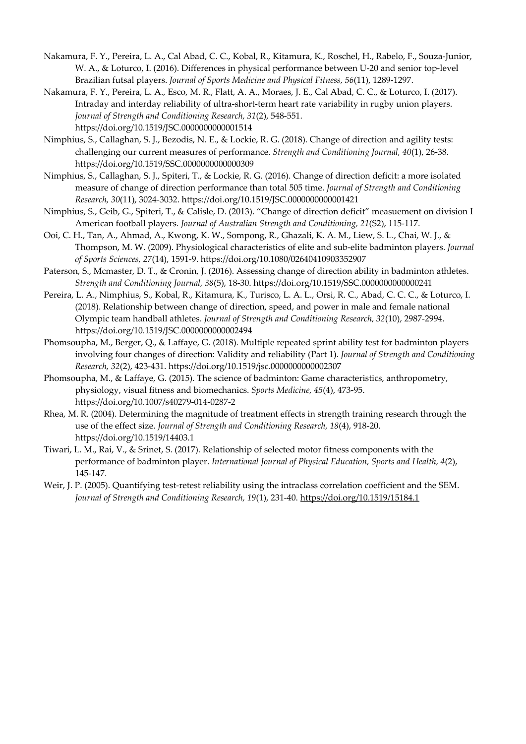- Nakamura, F. Y., Pereira, L. A., Cal Abad, C. C., Kobal, R., Kitamura, K., Roschel, H., Rabelo, F., Souza-Junior, W. A., & Loturco, I. (2016). Differences in physical performance between U-20 and senior top-level Brazilian futsal players. *Journal of Sports Medicine and Physical Fitness, 56*(11), 1289-1297.
- Nakamura, F. Y., Pereira, L. A., Esco, M. R., Flatt, A. A., Moraes, J. E., Cal Abad, C. C., & Loturco, I. (2017). Intraday and interday reliability of ultra-short-term heart rate variability in rugby union players. *Journal of Strength and Conditioning Research, 31*(2), 548-551. https://doi.org/10.1519/JSC.0000000000001514
- Nimphius, S., Callaghan, S. J., Bezodis, N. E., & Lockie, R. G. (2018). Change of direction and agility tests: challenging our current measures of performance. *Strength and Conditioning Journal, 40*(1), 26-38. https://doi.org/10.1519/SSC.0000000000000309
- Nimphius, S., Callaghan, S. J., Spiteri, T., & Lockie, R. G. (2016). Change of direction deficit: a more isolated measure of change of direction performance than total 505 time. *Journal of Strength and Conditioning Research, 30*(11), 3024-3032. https://doi.org/10.1519/JSC.0000000000001421
- Nimphius, S., Geib, G., Spiteri, T., & Calisle, D. (2013). "Change of direction deficit" measuement on division I American football players. *Journal of Australian Strength and Conditioning, 21*(S2), 115-117.
- Ooi, C. H., Tan, A., Ahmad, A., Kwong, K. W., Sompong, R., Ghazali, K. A. M., Liew, S. L., Chai, W. J., & Thompson, M. W. (2009). Physiological characteristics of elite and sub-elite badminton players. *Journal of Sports Sciences, 27*(14), 1591-9. https://doi.org/10.1080/02640410903352907
- Paterson, S., Mcmaster, D. T., & Cronin, J. (2016). Assessing change of direction ability in badminton athletes. *Strength and Conditioning Journal, 38*(5), 18-30. https://doi.org/10.1519/SSC.0000000000000241
- Pereira, L. A., Nimphius, S., Kobal, R., Kitamura, K., Turisco, L. A. L., Orsi, R. C., Abad, C. C. C., & Loturco, I. (2018). Relationship between change of direction, speed, and power in male and female national Olympic team handball athletes. *Journal of Strength and Conditioning Research, 32*(10), 2987-2994. https://doi.org/10.1519/JSC.0000000000002494
- Phomsoupha, M., Berger, Q., & Laffaye, G. (2018). Multiple repeated sprint ability test for badminton players involving four changes of direction: Validity and reliability (Part 1). *Journal of Strength and Conditioning Research, 32*(2), 423-431. https://doi.org/10.1519/jsc.0000000000002307
- Phomsoupha, M., & Laffaye, G. (2015). The science of badminton: Game characteristics, anthropometry, physiology, visual fitness and biomechanics. *Sports Medicine, 45*(4), 473-95. https://doi.org/10.1007/s40279-014-0287-2
- Rhea, M. R. (2004). Determining the magnitude of treatment effects in strength training research through the use of the effect size. *Journal of Strength and Conditioning Research, 18*(4), 918-20. https://doi.org/10.1519/14403.1
- Tiwari, L. M., Rai, V., & Srinet, S. (2017). Relationship of selected motor fitness components with the performance of badminton player. *International Journal of Physical Education, Sports and Health, 4*(2), 145-147.
- Weir, J. P. (2005). Quantifying test-retest reliability using the intraclass correlation coefficient and the SEM. *Journal of Strength and Conditioning Research, 19*(1), 231-40. https://doi.org/10.1519/15184.1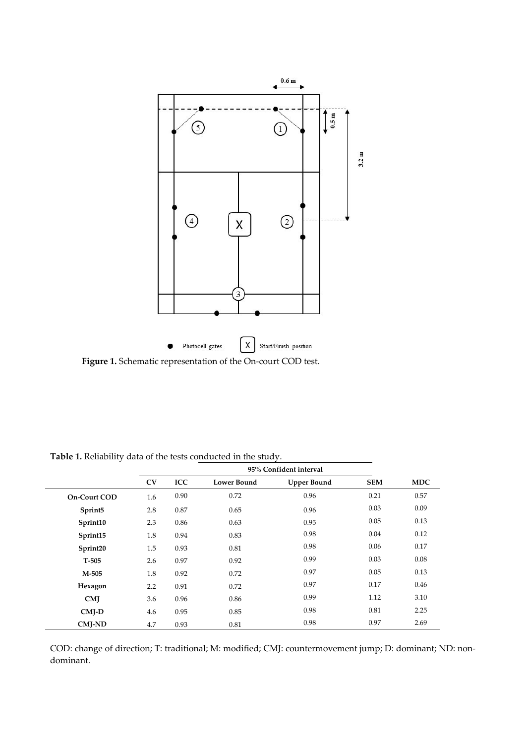

**Figure 1.** Schematic representation of the On-court COD test.

|                     | 95% Confident interval |            |                    |                    |            |            |  |  |
|---------------------|------------------------|------------|--------------------|--------------------|------------|------------|--|--|
|                     | CV                     | <b>ICC</b> | <b>Lower Bound</b> | <b>Upper Bound</b> | <b>SEM</b> | <b>MDC</b> |  |  |
| <b>On-Court COD</b> | 1.6                    | 0.90       | 0.72               | 0.96               | 0.21       | 0.57       |  |  |
| Sprint5             | 2.8                    | 0.87       | 0.65               | 0.96               | 0.03       | 0.09       |  |  |
| Sprint10            | 2.3                    | 0.86       | 0.63               | 0.95               | 0.05       | 0.13       |  |  |
| Sprint15            | 1.8                    | 0.94       | 0.83               | 0.98               | 0.04       | 0.12       |  |  |
| Sprint20            | 1.5                    | 0.93       | 0.81               | 0.98               | 0.06       | 0.17       |  |  |
| $T-505$             | 2.6                    | 0.97       | 0.92               | 0.99               | 0.03       | 0.08       |  |  |
| M-505               | 1.8                    | 0.92       | 0.72               | 0.97               | 0.05       | 0.13       |  |  |
| Hexagon             | 2.2                    | 0.91       | 0.72               | 0.97               | 0.17       | 0.46       |  |  |
| CMI                 | 3.6                    | 0.96       | 0.86               | 0.99               | 1.12       | 3.10       |  |  |
| $CMI-D$             | 4.6                    | 0.95       | 0.85               | 0.98               | 0.81       | 2.25       |  |  |
| <b>CMI-ND</b>       | 4.7                    | 0.93       | 0.81               | 0.98               | 0.97       | 2.69       |  |  |

**Table 1.** Reliability data of the tests conducted in the study.

COD: change of direction; T: traditional; M: modified; CMJ: countermovement jump; D: dominant; ND: nondominant.